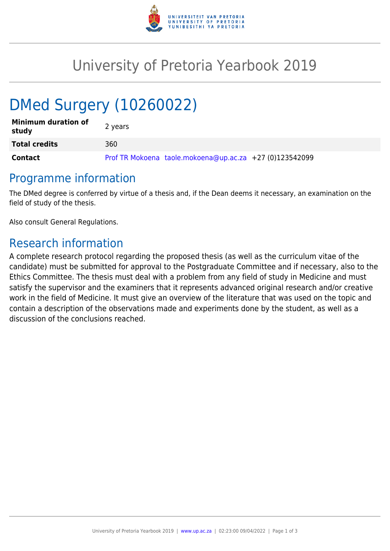

## University of Pretoria Yearbook 2019

# DMed Surgery (10260022)

| <b>Minimum duration of</b><br>study | 2 years                                                 |
|-------------------------------------|---------------------------------------------------------|
| <b>Total credits</b>                | 360                                                     |
| <b>Contact</b>                      | Prof TR Mokoena taole.mokoena@up.ac.za +27 (0)123542099 |

#### Programme information

The DMed degree is conferred by virtue of a thesis and, if the Dean deems it necessary, an examination on the field of study of the thesis.

Also consult General Regulations.

### Research information

A complete research protocol regarding the proposed thesis (as well as the curriculum vitae of the candidate) must be submitted for approval to the Postgraduate Committee and if necessary, also to the Ethics Committee. The thesis must deal with a problem from any field of study in Medicine and must satisfy the supervisor and the examiners that it represents advanced original research and/or creative work in the field of Medicine. It must give an overview of the literature that was used on the topic and contain a description of the observations made and experiments done by the student, as well as a discussion of the conclusions reached.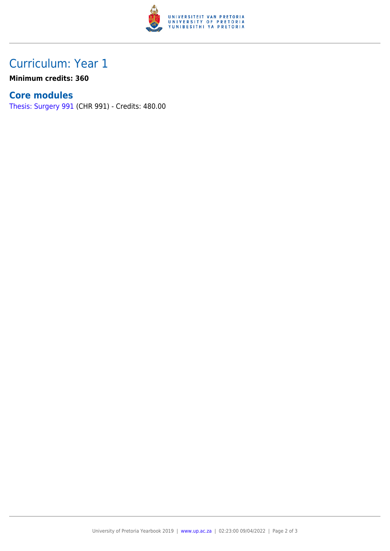

## Curriculum: Year 1

**Minimum credits: 360**

#### **Core modules**

[Thesis: Surgery 991](https://www.up.ac.za/faculty-of-education/yearbooks/2019/modules/view/CHR 991) (CHR 991) - Credits: 480.00